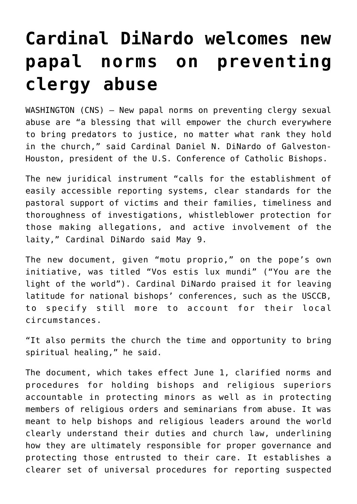## **[Cardinal DiNardo welcomes new](https://www.osvnews.com/2019/05/10/cardinal-dinardo-welcomes-new-papal-norms-on-preventing-clergy-abuse/) [papal norms on preventing](https://www.osvnews.com/2019/05/10/cardinal-dinardo-welcomes-new-papal-norms-on-preventing-clergy-abuse/) [clergy abuse](https://www.osvnews.com/2019/05/10/cardinal-dinardo-welcomes-new-papal-norms-on-preventing-clergy-abuse/)**

WASHINGTON (CNS) — New papal norms on preventing clergy sexual abuse are "a blessing that will empower the church everywhere to bring predators to justice, no matter what rank they hold in the church," said Cardinal Daniel N. DiNardo of Galveston-Houston, president of the U.S. Conference of Catholic Bishops.

The new juridical instrument "calls for the establishment of easily accessible reporting systems, clear standards for the pastoral support of victims and their families, timeliness and thoroughness of investigations, whistleblower protection for those making allegations, and active involvement of the laity," Cardinal DiNardo said May 9.

The new document, given "motu proprio," on the pope's own initiative, was titled "Vos estis lux mundi" ("You are the light of the world"). Cardinal DiNardo praised it for leaving latitude for national bishops' conferences, such as the USCCB, to specify still more to account for their local circumstances.

"It also permits the church the time and opportunity to bring spiritual healing," he said.

The document, which takes effect June 1, clarified norms and procedures for holding bishops and religious superiors accountable in protecting minors as well as in protecting members of religious orders and seminarians from abuse. It was meant to help bishops and religious leaders around the world clearly understand their duties and church law, underlining how they are ultimately responsible for proper governance and protecting those entrusted to their care. It establishes a clearer set of universal procedures for reporting suspected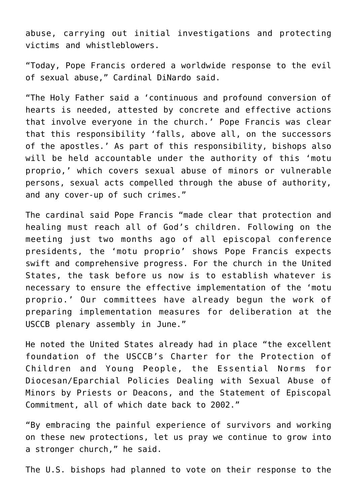abuse, carrying out initial investigations and protecting victims and whistleblowers.

"Today, Pope Francis ordered a worldwide response to the evil of sexual abuse," Cardinal DiNardo said.

"The Holy Father said a 'continuous and profound conversion of hearts is needed, attested by concrete and effective actions that involve everyone in the church.' Pope Francis was clear that this responsibility 'falls, above all, on the successors of the apostles.' As part of this responsibility, bishops also will be held accountable under the authority of this 'motu proprio,' which covers sexual abuse of minors or vulnerable persons, sexual acts compelled through the abuse of authority, and any cover-up of such crimes."

The cardinal said Pope Francis "made clear that protection and healing must reach all of God's children. Following on the meeting just two months ago of all episcopal conference presidents, the 'motu proprio' shows Pope Francis expects swift and comprehensive progress. For the church in the United States, the task before us now is to establish whatever is necessary to ensure the effective implementation of the 'motu proprio.' Our committees have already begun the work of preparing implementation measures for deliberation at the USCCB plenary assembly in June."

He noted the United States already had in place "the excellent foundation of the USCCB's Charter for the Protection of Children and Young People, the Essential Norms for Diocesan/Eparchial Policies Dealing with Sexual Abuse of Minors by Priests or Deacons, and the Statement of Episcopal Commitment, all of which date back to 2002."

"By embracing the painful experience of survivors and working on these new protections, let us pray we continue to grow into a stronger church," he said.

The U.S. bishops had planned to vote on their response to the